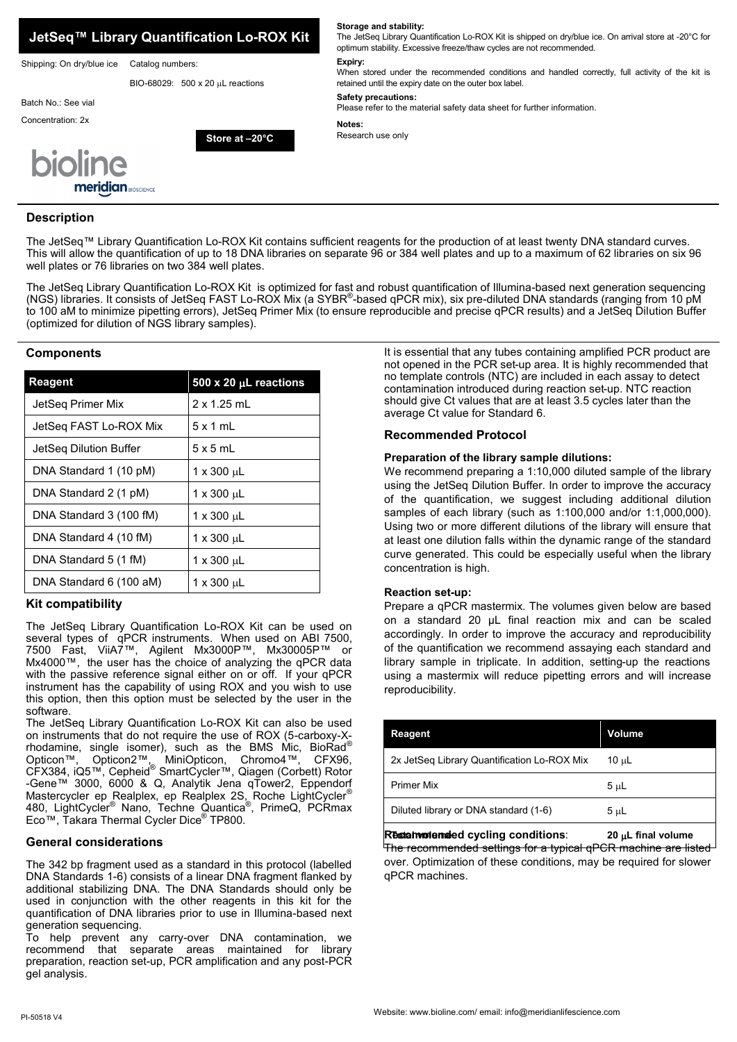

## **Description**

The JetSeq™ Library Quantification Lo-ROX Kit contains sufficient reagents for the production of at least twenty DNA standard curves. This will allow the quantification of up to 18 DNA libraries on separate 96 or 384 well plates and up to a maximum of 62 libraries on six 96 well plates or 76 libraries on two 384 well plates.

The JetSeq Library Quantification Lo-ROX Kit is optimized for fast and robust quantification of Illumina-based next generation sequencing (NGS) libraries. It consists of JetSeq FAST Lo-ROX Mix (a SYBR®-based qPCR mix), six pre-diluted DNA standards (ranging from 10 pM to 100 aM to minimize pipetting errors), JetSeq Primer Mix (to ensure reproducible and precise qPCR results) and a JetSeq Dilution Buffer (optimized for dilution of NGS library samples).

## **Components**

| <b>Reagent</b>          | 500 x 20 $\mu$ L reactions |
|-------------------------|----------------------------|
| JetSeg Primer Mix       | $2 \times 1.25$ mL         |
| JetSeg FAST Lo-ROX Mix  | $5 \times 1$ ml            |
| JetSeg Dilution Buffer  | $5 \times 5$ mL            |
| DNA Standard 1 (10 pM)  | 1 x 300 uL                 |
| DNA Standard 2 (1 pM)   | $1 \times 300 \mu L$       |
| DNA Standard 3 (100 fM) | 1 x 300 uL                 |
| DNA Standard 4 (10 fM)  | $1 \times 300 \mu L$       |
| DNA Standard 5 (1 fM)   | 1 x 300 uL                 |
| DNA Standard 6 (100 aM) | 1 x 300 սL                 |

## **Kit compatibility**

The JetSeq Library Quantification Lo-ROX Kit can be used on several types of qPCR instruments. When used on ABI 7500, 7500 Fast, ViiA7™, Agilent Mx3000P™, Mx30005P™ or Mx4000™, the user has the choice of analyzing the qPCR data with the passive reference signal either on or off. If your qPCR instrument has the capability of using ROX and you wish to use this option, then this option must be selected by the user in the software.

The JetSeq Library Quantification Lo-ROX Kit can also be used on instruments that do not require the use of ROX (5-carboxy-Xrhodamine, single isomer), such as the BMS Mic, Bio $\mathsf{Rad}^\circ$ Opticon™, Opticon2™, MiniOpticon, Chromo4™, CFX96, CFX384, iQ5™, Cepheid® SmartCycler™, Qiagen (Corbett) Rotor -Gene™ 3000, 6000 & Q, Analytik Jena qTower2, Eppendorf Mastercycler ep Realplex, ep Realplex 2S, Roche LightCycler® 480, LightCycler® Nano, Techne Quantica® , PrimeQ, PCRmax Eco™, Takara Thermal Cycler Dice® TP800.

## **General considerations**

The 342 bp fragment used as a standard in this protocol (labelled DNA Standards 1-6) consists of a linear DNA fragment flanked by additional stabilizing DNA. The DNA Standards should only be used in conjunction with the other reagents in this kit for the quantification of DNA libraries prior to use in Illumina-based next generation sequencing.

To help prevent any carry-over DNA contamination, we recommend that separate areas maintained for library preparation, reaction set-up, PCR amplification and any post-PCR gel analysis.

It is essential that any tubes containing amplified PCR product are not opened in the PCR set-up area. It is highly recommended that no template controls (NTC) are included in each assay to detect contamination introduced during reaction set-up. NTC reaction should give Ct values that are at least 3.5 cycles later than the average Ct value for Standard 6.

## **Recommended Protocol**

## **Preparation of the library sample dilutions:**

We recommend preparing a 1:10,000 diluted sample of the library using the JetSeq Dilution Buffer. In order to improve the accuracy of the quantification, we suggest including additional dilution samples of each library (such as 1:100,000 and/or 1:1,000,000). Using two or more different dilutions of the library will ensure that at least one dilution falls within the dynamic range of the standard curve generated. This could be especially useful when the library concentration is high.

## **Reaction set-up:**

Prepare a qPCR mastermix. The volumes given below are based on a standard 20 µL final reaction mix and can be scaled accordingly. In order to improve the accuracy and reproducibility of the quantification we recommend assaying each standard and library sample in triplicate. In addition, setting-up the reactions using a mastermix will reduce pipetting errors and will increase reproducibility.

| Reagent                                     | Volume     |
|---------------------------------------------|------------|
| 2x JetSeg Library Quantification Lo-ROX Mix | $10 \mu L$ |
| <b>Primer Mix</b>                           | $5 \mu L$  |
| Diluted library or DNA standard (1-6)       | $5 \mu L$  |
|                                             |            |

Recommended cycling conditions: 20 µL final volume

The recommended settings for a typical qPCR machine are listed over. Optimization of these conditions, may be required for slower qPCR machines.